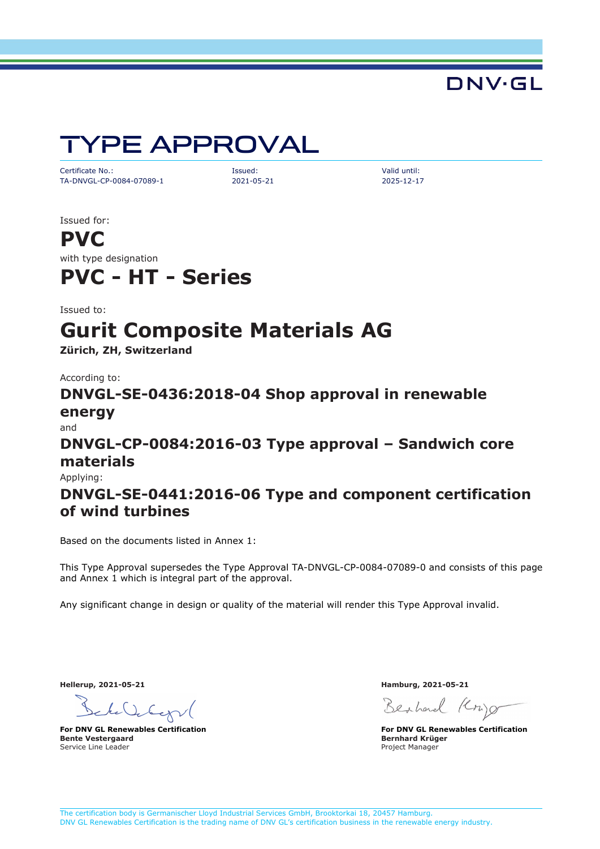DNV·GL

# TYPE APPROVAL

Certificate No.: Issued: Valid until: TA-DNVGL-CP-0084-07089-1 2021-05-21 2025-12-17

Issued for:

**PVC** with type designation

## **PVC - HT - Series**

Issued to:

## **Gurit Composite Materials AG**

**Zürich, ZH, Switzerland**

According to:

**DNVGL-SE-0436:2018-04 Shop approval in renewable energy**

and

### **DNVGL-CP-0084:2016-03 Type approval – Sandwich core materials**

Applying:

### **DNVGL-SE-0441:2016-06 Type and component certification of wind turbines**

Based on the documents listed in Annex 1:

This Type Approval supersedes the Type Approval TA-DNVGL-CP-0084-07089-0 and consists of this page and Annex 1 which is integral part of the approval.

Any significant change in design or quality of the material will render this Type Approval invalid.

**Hellerup, 2021-05-21 Hamburg, 2021-05-21**

to Voter

**Bente Vestergaard** Service Line Leader

Berhard (Cr)

**For DNV GL Renewables Certification For DNV GL Renewables Certification Bernhard Krüger** Project Manager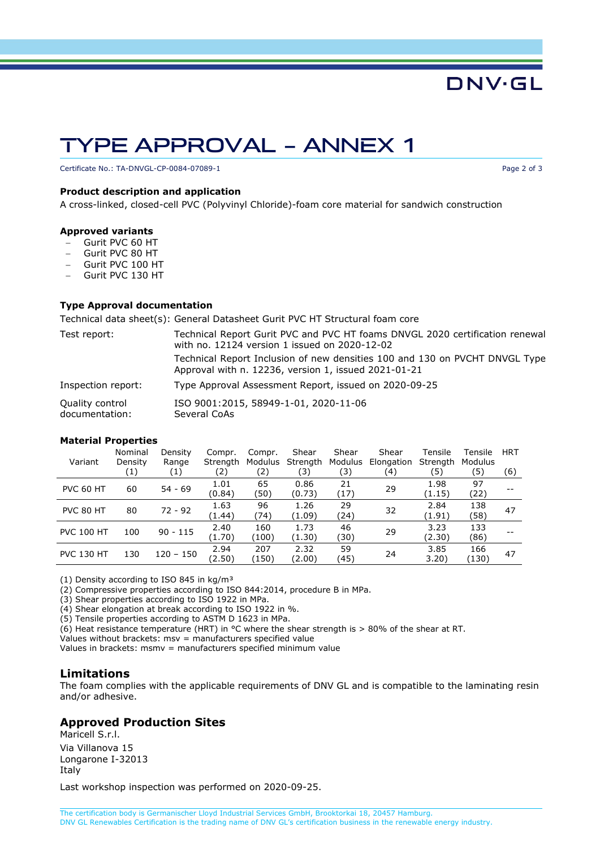## TYPE APPROVAL – ANNEX 1

Certificate No.: TA-DNVGL-CP-0084-07089-1 **Page 2 of 3** Page 2 of 3

#### **Product description and application**

A cross-linked, closed-cell PVC (Polyvinyl Chloride)-foam core material for sandwich construction

#### **Approved variants**

- − Gurit PVC 60 HT
- − Gurit PVC 80 HT
- − Gurit PVC 100 HT
- − Gurit PVC 130 HT

#### **Type Approval documentation**

Technical data sheet(s): General Datasheet Gurit PVC HT Structural foam core

| Test report:                             | Technical Report Gurit PVC and PVC HT foams DNVGL 2020 certification renewal<br>with no. 12124 version 1 issued on 2020-12-02       |  |  |  |  |  |
|------------------------------------------|-------------------------------------------------------------------------------------------------------------------------------------|--|--|--|--|--|
|                                          | Technical Report Inclusion of new densities 100 and 130 on PVCHT DNVGL Type<br>Approval with n. 12236, version 1, issued 2021-01-21 |  |  |  |  |  |
| Inspection report:                       | Type Approval Assessment Report, issued on 2020-09-25                                                                               |  |  |  |  |  |
| <b>Quality control</b><br>documentation: | ISO 9001:2015, 58949-1-01, 2020-11-06<br>Several CoAs                                                                               |  |  |  |  |  |

#### **Material Properties**

| Variant           | Nominal<br>Density<br>(1) | Density<br>Range<br>(1) | Compr.<br>Strength<br>(2) | Compr.<br>Modulus<br>(2) | Shear<br>Strength<br>(3) | Shear<br>Modulus<br>(3) | Shear<br>Elongation<br>(4) | Tensile<br>Strength<br>(5) | Tensile<br>Modulus<br>(5) | <b>HRT</b><br>(6) |
|-------------------|---------------------------|-------------------------|---------------------------|--------------------------|--------------------------|-------------------------|----------------------------|----------------------------|---------------------------|-------------------|
| <b>PVC 60 HT</b>  | 60                        | $54 - 69$               | 1.01<br>(0.84)            | 65<br>(50)               | 0.86<br>(0.73)           | 21<br>(17)              | 29                         | 1.98<br>(1.15)             | 97<br>(22)                |                   |
| PVC 80 HT         | 80                        | $72 - 92$               | 1.63<br>(1.44)            | 96<br>(74)               | 1.26<br>(1.09)           | 29<br>(24)              | 32                         | 2.84<br>(1.91)             | 138<br>(58)               | 47                |
| <b>PVC 100 HT</b> | 100                       | $90 - 115$              | 2.40<br>(1.70)            | 160<br>(100)             | 1.73<br>(1.30)           | 46<br>(30)              | 29                         | 3.23<br>(2.30)             | 133<br>(86)               |                   |
| <b>PVC 130 HT</b> | 130                       | $120 - 150$             | 2.94<br>(2.50)            | 207<br>(150)             | 2.32<br>(2.00)           | 59<br>(45)              | 24                         | 3.85<br>3.20)              | 166<br>(130)              | 47                |

(1) Density according to ISO 845 in  $kg/m<sup>3</sup>$ 

(2) Compressive properties according to ISO 844:2014, procedure B in MPa.

(3) Shear properties according to ISO 1922 in MPa.

(4) Shear elongation at break according to ISO 1922 in %.

(5) Tensile properties according to ASTM D 1623 in MPa.

(6) Heat resistance temperature (HRT) in °C where the shear strength is > 80% of the shear at RT.

Values without brackets: msv = manufacturers specified value

Values in brackets: msmv = manufacturers specified minimum value

#### **Limitations**

The foam complies with the applicable requirements of DNV GL and is compatible to the laminating resin and/or adhesive.

#### **Approved Production Sites**

Maricell S.r.l. Via Villanova 15 Longarone I-32013 Italy

Last workshop inspection was performed on 2020-09-25.

DNV·GL